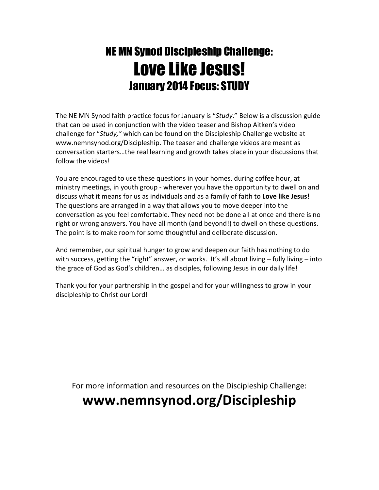# NE MN Synod Discipleship Challenge: Love Like Jesus! January 2014 Focus: STUDY

The NE MN Synod faith practice focus for January is "Study." Below is a discussion guide that can be used in conjunction with the video teaser and Bishop Aitken's video challenge for "Study," which can be found on the Discipleship Challenge website at www.nemnsynod.org/Discipleship. The teaser and challenge videos are meant as conversation starters…the real learning and growth takes place in your discussions that follow the videos!

You are encouraged to use these questions in your homes, during coffee hour, at ministry meetings, in youth group - wherever you have the opportunity to dwell on and discuss what it means for us as individuals and as a family of faith to Love like Jesus! The questions are arranged in a way that allows you to move deeper into the conversation as you feel comfortable. They need not be done all at once and there is no right or wrong answers. You have all month (and beyond!) to dwell on these questions. The point is to make room for some thoughtful and deliberate discussion.

And remember, our spiritual hunger to grow and deepen our faith has nothing to do with success, getting the "right" answer, or works. It's all about living – fully living – into the grace of God as God's children… as disciples, following Jesus in our daily life!

Thank you for your partnership in the gospel and for your willingness to grow in your discipleship to Christ our Lord!

For more information and resources on the Discipleship Challenge:

## www.nemnsynod.org/Discipleship